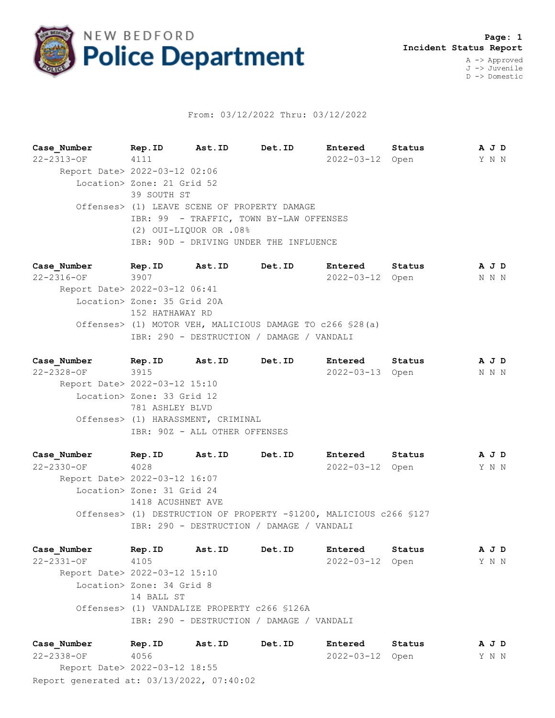

## From: 03/12/2022 Thru: 03/12/2022

**Case\_Number Rep.ID Ast.ID Det.ID Entered Status A J D** 22-2313-OF 4111 2022-03-12 Open Y N N Report Date> 2022-03-12 02:06 Location> Zone: 21 Grid 52 39 SOUTH ST Offenses> (1) LEAVE SCENE OF PROPERTY DAMAGE IBR: 99 - TRAFFIC, TOWN BY-LAW OFFENSES (2) OUI-LIQUOR OR .08% IBR: 90D - DRIVING UNDER THE INFLUENCE

**Case\_Number Rep.ID Ast.ID Det.ID Entered Status A J D** 22-2316-OF 3907 2022-03-12 Open N N N Report Date> 2022-03-12 06:41 Location> Zone: 35 Grid 20A 152 HATHAWAY RD Offenses> (1) MOTOR VEH, MALICIOUS DAMAGE TO c266 §28(a) IBR: 290 - DESTRUCTION / DAMAGE / VANDALI

**Case\_Number Rep.ID Ast.ID Det.ID Entered Status A J D** 22-2328-OF 3915 2022-03-13 Open N N N Report Date> 2022-03-12 15:10 Location> Zone: 33 Grid 12 781 ASHLEY BLVD Offenses> (1) HARASSMENT, CRIMINAL IBR: 90Z - ALL OTHER OFFENSES

**Case\_Number Rep.ID Ast.ID Det.ID Entered Status A J D** 22-2330-OF 4028 2022-03-12 Open Y N N Report Date> 2022-03-12 16:07 Location> Zone: 31 Grid 24 1418 ACUSHNET AVE Offenses> (1) DESTRUCTION OF PROPERTY -\$1200, MALICIOUS c266 §127 IBR: 290 - DESTRUCTION / DAMAGE / VANDALI

**Case\_Number Rep.ID Ast.ID Det.ID Entered Status A J D** 22-2331-OF 4105 2022-03-12 Open Y N N Report Date> 2022-03-12 15:10 Location> Zone: 34 Grid 8 14 BALL ST Offenses> (1) VANDALIZE PROPERTY c266 §126A IBR: 290 - DESTRUCTION / DAMAGE / VANDALI

Report generated at: 03/13/2022, 07:40:02 **Case\_Number Rep.ID Ast.ID Det.ID Entered Status A J D** 22-2338-OF 4056 2022-03-12 Open Y N N Report Date> 2022-03-12 18:55